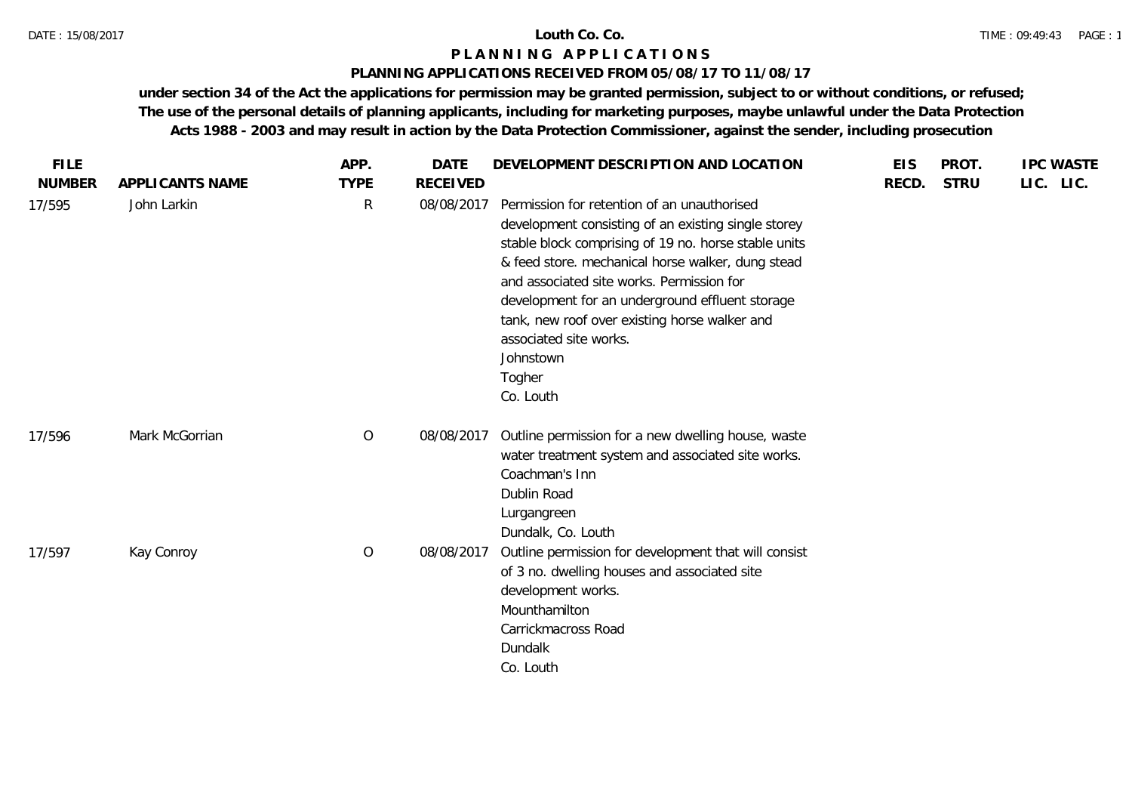## **PLANNING APPLICATIONS RECEIVED FROM 05/08/17 TO 11/08/17**

| <b>FILE</b>   |                 | APP.         | <b>DATE</b>     | DEVELOPMENT DESCRIPTION AND LOCATION                                                                                                                                                                                                                                                                                                                                                                                           | <b>EIS</b> | PROT.       | <b>IPC WASTE</b> |
|---------------|-----------------|--------------|-----------------|--------------------------------------------------------------------------------------------------------------------------------------------------------------------------------------------------------------------------------------------------------------------------------------------------------------------------------------------------------------------------------------------------------------------------------|------------|-------------|------------------|
| <b>NUMBER</b> | APPLICANTS NAME | <b>TYPE</b>  | <b>RECEIVED</b> |                                                                                                                                                                                                                                                                                                                                                                                                                                | RECD.      | <b>STRU</b> | LIC. LIC.        |
| 17/595        | John Larkin     | $\mathsf{R}$ | 08/08/2017      | Permission for retention of an unauthorised<br>development consisting of an existing single storey<br>stable block comprising of 19 no. horse stable units<br>& feed store. mechanical horse walker, dung stead<br>and associated site works. Permission for<br>development for an underground effluent storage<br>tank, new roof over existing horse walker and<br>associated site works.<br>Johnstown<br>Togher<br>Co. Louth |            |             |                  |
| 17/596        | Mark McGorrian  | $\circ$      | 08/08/2017      | Outline permission for a new dwelling house, waste<br>water treatment system and associated site works.<br>Coachman's Inn<br>Dublin Road<br>Lurgangreen<br>Dundalk, Co. Louth                                                                                                                                                                                                                                                  |            |             |                  |
| 17/597        | Kay Conroy      | $\circ$      | 08/08/2017      | Outline permission for development that will consist<br>of 3 no. dwelling houses and associated site<br>development works.<br>Mounthamilton<br>Carrickmacross Road<br>Dundalk<br>Co. Louth                                                                                                                                                                                                                                     |            |             |                  |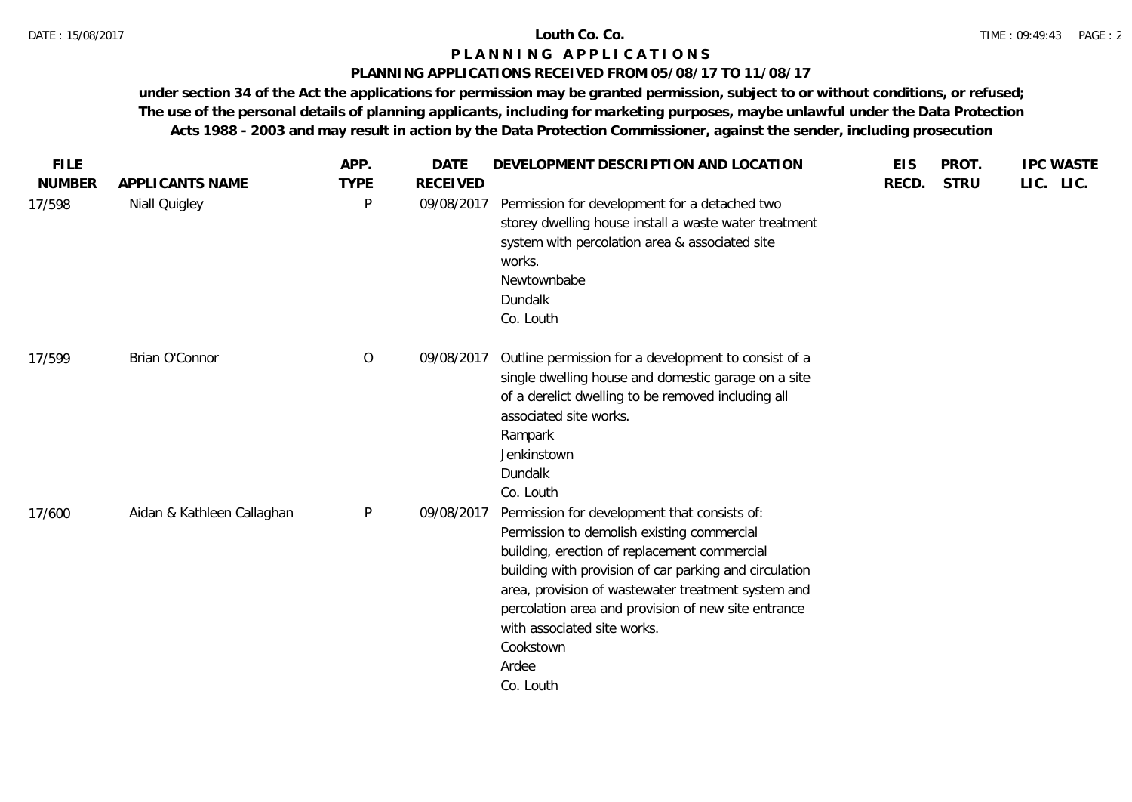## **PLANNING APPLICATIONS RECEIVED FROM 05/08/17 TO 11/08/17**

| <b>FILE</b><br><b>NUMBER</b> | APPLICANTS NAME            | APP.<br><b>TYPE</b> | <b>DATE</b><br><b>RECEIVED</b> | DEVELOPMENT DESCRIPTION AND LOCATION                                                                                                                                                                                                                                                                                                                                                | <b>EIS</b><br>RECD. | PROT.<br><b>STRU</b> | <b>IPC WASTE</b><br>LIC. LIC. |
|------------------------------|----------------------------|---------------------|--------------------------------|-------------------------------------------------------------------------------------------------------------------------------------------------------------------------------------------------------------------------------------------------------------------------------------------------------------------------------------------------------------------------------------|---------------------|----------------------|-------------------------------|
| 17/598                       | Niall Quigley              | P                   | 09/08/2017                     | Permission for development for a detached two<br>storey dwelling house install a waste water treatment<br>system with percolation area & associated site<br>works.<br>Newtownbabe<br>Dundalk<br>Co. Louth                                                                                                                                                                           |                     |                      |                               |
| 17/599                       | Brian O'Connor             | $\overline{O}$      | 09/08/2017                     | Outline permission for a development to consist of a<br>single dwelling house and domestic garage on a site<br>of a derelict dwelling to be removed including all<br>associated site works.<br>Rampark<br>Jenkinstown<br><b>Dundalk</b><br>Co. Louth                                                                                                                                |                     |                      |                               |
| 17/600                       | Aidan & Kathleen Callaghan | $\sf P$             | 09/08/2017                     | Permission for development that consists of:<br>Permission to demolish existing commercial<br>building, erection of replacement commercial<br>building with provision of car parking and circulation<br>area, provision of wastewater treatment system and<br>percolation area and provision of new site entrance<br>with associated site works.<br>Cookstown<br>Ardee<br>Co. Louth |                     |                      |                               |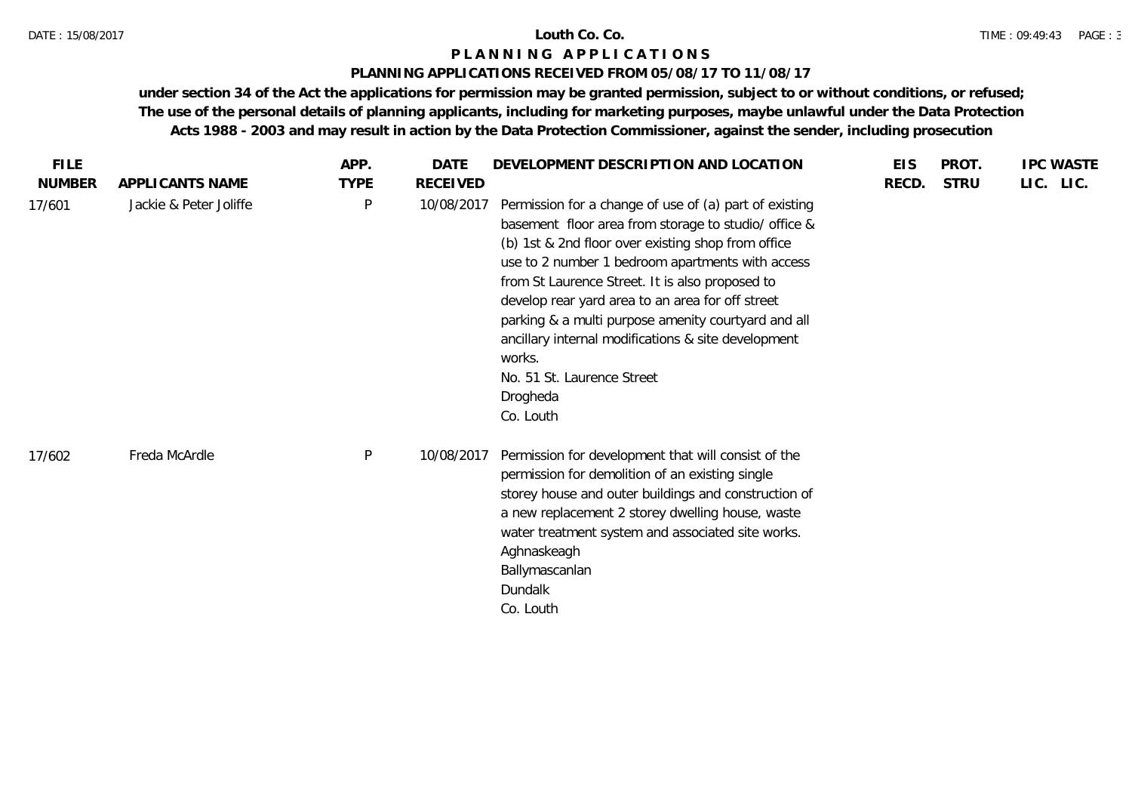# **PLANNING APPLICATIONS RECEIVED FROM 05/08/17 TO 11/08/17**

| <b>FILE</b>   |                        | APP.        | <b>DATE</b>     | DEVELOPMENT DESCRIPTION AND LOCATION                                                                                                                                                                                                                                                                                                                                                                                                                                                                           | <b>EIS</b> | PROT.       | <b>IPC WASTE</b> |
|---------------|------------------------|-------------|-----------------|----------------------------------------------------------------------------------------------------------------------------------------------------------------------------------------------------------------------------------------------------------------------------------------------------------------------------------------------------------------------------------------------------------------------------------------------------------------------------------------------------------------|------------|-------------|------------------|
| <b>NUMBER</b> | APPLICANTS NAME        | <b>TYPE</b> | <b>RECEIVED</b> |                                                                                                                                                                                                                                                                                                                                                                                                                                                                                                                | RECD.      | <b>STRU</b> | LIC. LIC.        |
| 17/601        | Jackie & Peter Joliffe | P           | 10/08/2017      | Permission for a change of use of (a) part of existing<br>basement floor area from storage to studio/ office &<br>(b) 1st & 2nd floor over existing shop from office<br>use to 2 number 1 bedroom apartments with access<br>from St Laurence Street. It is also proposed to<br>develop rear yard area to an area for off street<br>parking & a multi purpose amenity courtyard and all<br>ancillary internal modifications & site development<br>works.<br>No. 51 St. Laurence Street<br>Drogheda<br>Co. Louth |            |             |                  |
| 17/602        | Freda McArdle          | P           | 10/08/2017      | Permission for development that will consist of the<br>permission for demolition of an existing single<br>storey house and outer buildings and construction of<br>a new replacement 2 storey dwelling house, waste<br>water treatment system and associated site works.<br>Aghnaskeagh<br>Ballymascanlan<br>Dundalk<br>Co. Louth                                                                                                                                                                               |            |             |                  |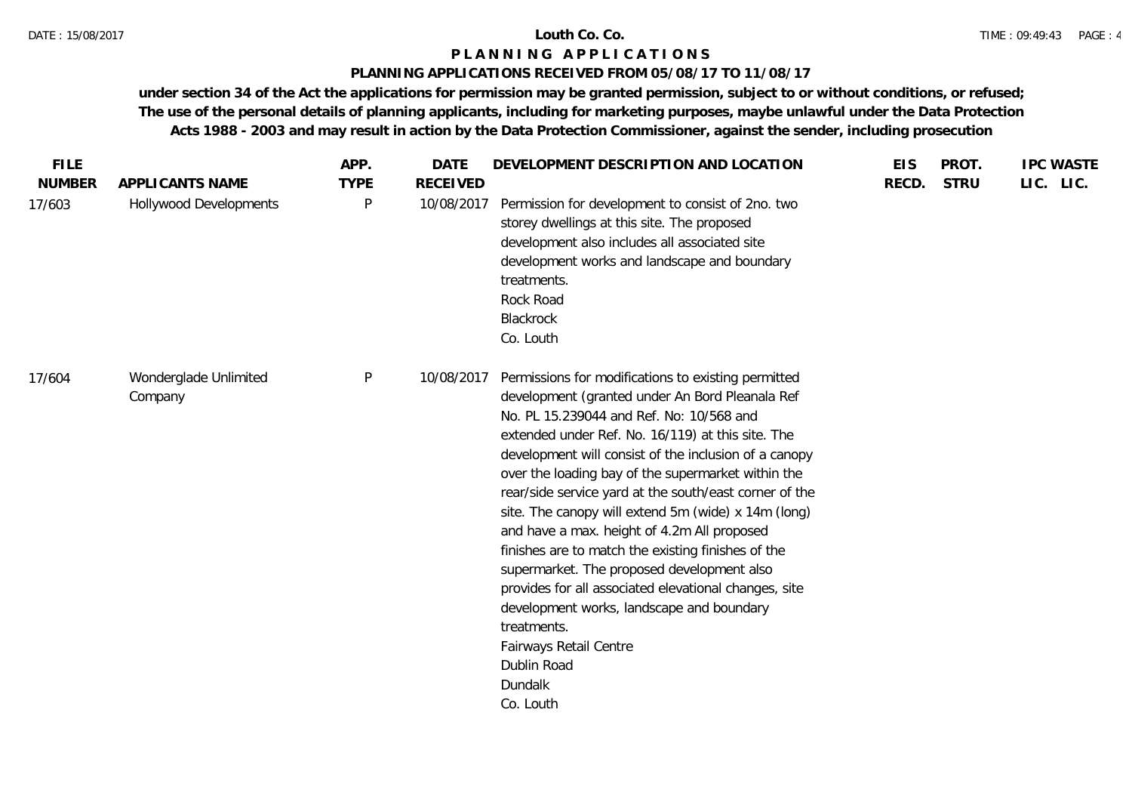## **PLANNING APPLICATIONS RECEIVED FROM 05/08/17 TO 11/08/17**

| <b>FILE</b>   |                                  | APP.        | <b>DATE</b>     | DEVELOPMENT DESCRIPTION AND LOCATION                                                                                                                                                                                                                                                                                                                                                                                                                                                                                                                                                                                                                                                                                                                                             | <b>EIS</b> | PROT.       | <b>IPC WASTE</b> |
|---------------|----------------------------------|-------------|-----------------|----------------------------------------------------------------------------------------------------------------------------------------------------------------------------------------------------------------------------------------------------------------------------------------------------------------------------------------------------------------------------------------------------------------------------------------------------------------------------------------------------------------------------------------------------------------------------------------------------------------------------------------------------------------------------------------------------------------------------------------------------------------------------------|------------|-------------|------------------|
| <b>NUMBER</b> | APPLICANTS NAME                  | <b>TYPE</b> | <b>RECEIVED</b> |                                                                                                                                                                                                                                                                                                                                                                                                                                                                                                                                                                                                                                                                                                                                                                                  | RECD.      | <b>STRU</b> | LIC. LIC.        |
| 17/603        | Hollywood Developments           | P           | 10/08/2017      | Permission for development to consist of 2no. two<br>storey dwellings at this site. The proposed<br>development also includes all associated site<br>development works and landscape and boundary<br>treatments.<br>Rock Road<br>Blackrock<br>Co. Louth                                                                                                                                                                                                                                                                                                                                                                                                                                                                                                                          |            |             |                  |
| 17/604        | Wonderglade Unlimited<br>Company | P           | 10/08/2017      | Permissions for modifications to existing permitted<br>development (granted under An Bord Pleanala Ref<br>No. PL 15.239044 and Ref. No: 10/568 and<br>extended under Ref. No. 16/119) at this site. The<br>development will consist of the inclusion of a canopy<br>over the loading bay of the supermarket within the<br>rear/side service yard at the south/east corner of the<br>site. The canopy will extend 5m (wide) x 14m (long)<br>and have a max. height of 4.2m All proposed<br>finishes are to match the existing finishes of the<br>supermarket. The proposed development also<br>provides for all associated elevational changes, site<br>development works, landscape and boundary<br>treatments.<br>Fairways Retail Centre<br>Dublin Road<br>Dundalk<br>Co. Louth |            |             |                  |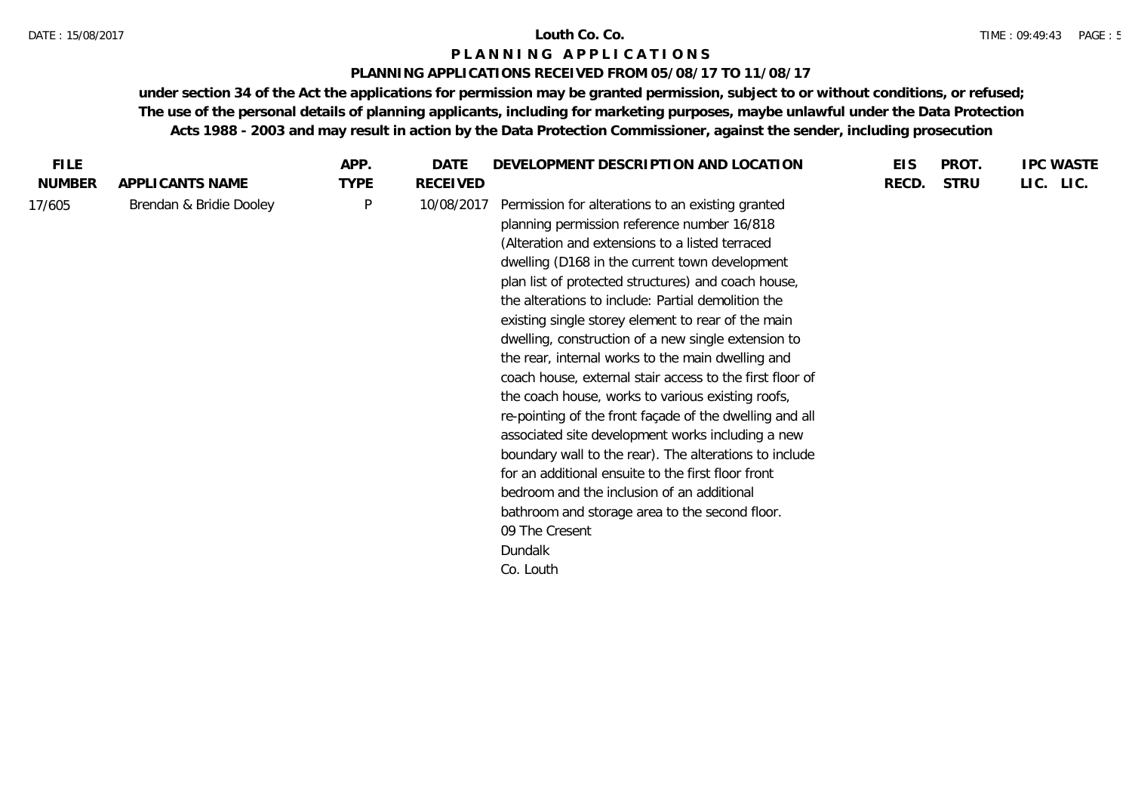#### DATE : 15/08/2017 **Louth Co. Co.**

# **P L A N N I N G A P P L I C A T I O N S**

# **PLANNING APPLICATIONS RECEIVED FROM 05/08/17 TO 11/08/17**

| <b>FILE</b>   |                         | APP.        | DATE            | DEVELOPMENT DESCRIPTION AND LOCATION                                                                                                                                                                                                                                                                                                                                                                                                                                                                                                                                                                                                                                                                                                                                                                                                                                                                                                                                            | <b>EIS</b> | PROT.       | <b>IPC WASTE</b> |
|---------------|-------------------------|-------------|-----------------|---------------------------------------------------------------------------------------------------------------------------------------------------------------------------------------------------------------------------------------------------------------------------------------------------------------------------------------------------------------------------------------------------------------------------------------------------------------------------------------------------------------------------------------------------------------------------------------------------------------------------------------------------------------------------------------------------------------------------------------------------------------------------------------------------------------------------------------------------------------------------------------------------------------------------------------------------------------------------------|------------|-------------|------------------|
| <b>NUMBER</b> | APPLICANTS NAME         | <b>TYPE</b> | <b>RECEIVED</b> |                                                                                                                                                                                                                                                                                                                                                                                                                                                                                                                                                                                                                                                                                                                                                                                                                                                                                                                                                                                 | RECD.      | <b>STRU</b> | LIC. LIC.        |
| 17/605        | Brendan & Bridie Dooley | P           | 10/08/2017      | Permission for alterations to an existing granted<br>planning permission reference number 16/818<br>(Alteration and extensions to a listed terraced<br>dwelling (D168 in the current town development<br>plan list of protected structures) and coach house,<br>the alterations to include: Partial demolition the<br>existing single storey element to rear of the main<br>dwelling, construction of a new single extension to<br>the rear, internal works to the main dwelling and<br>coach house, external stair access to the first floor of<br>the coach house, works to various existing roofs,<br>re-pointing of the front façade of the dwelling and all<br>associated site development works including a new<br>boundary wall to the rear). The alterations to include<br>for an additional ensuite to the first floor front<br>bedroom and the inclusion of an additional<br>bathroom and storage area to the second floor.<br>09 The Cresent<br>Dundalk<br>Co. Louth |            |             |                  |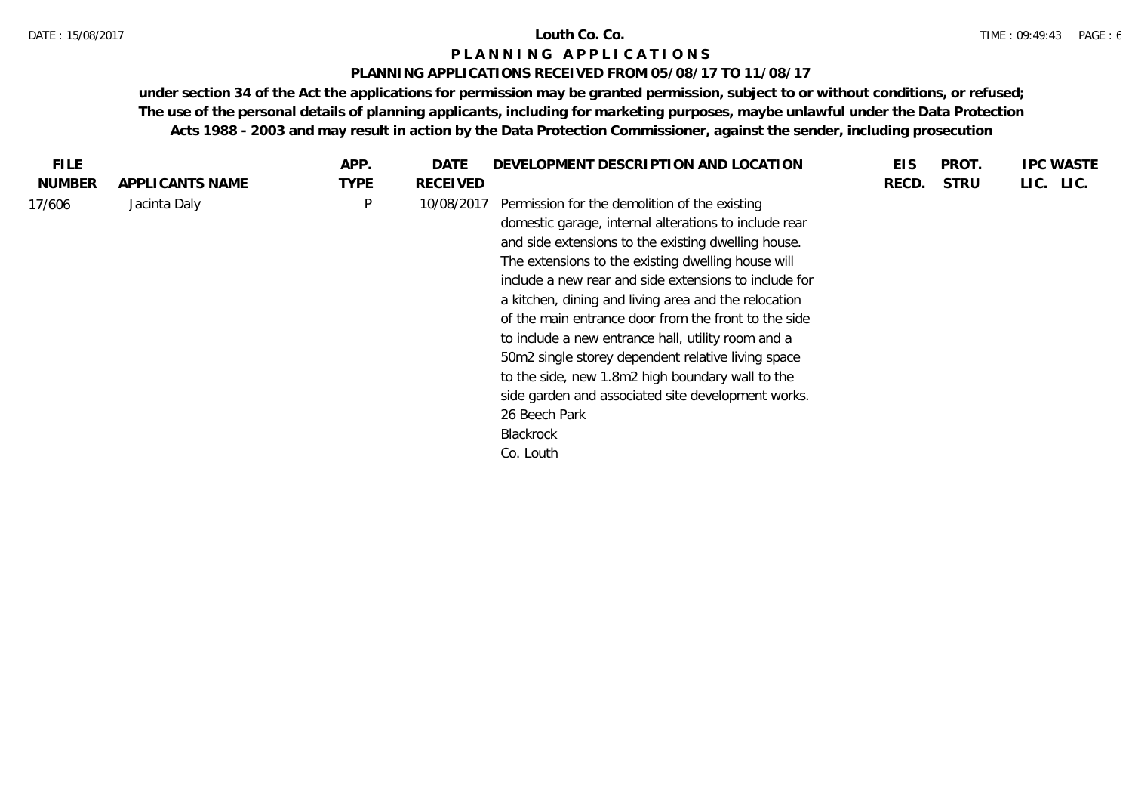### **PLANNING APPLICATIONS RECEIVED FROM 05/08/17 TO 11/08/17**

| FILE.         |                 | APP.        | DATE            | DEVELOPMENT DESCRIPTION AND LOCATION                                                                                                                                                                                                                                                                                                                                                                                                                                                                                                                                                                                                | EIS   | PROT.       | <b>IPC WASTE</b> |
|---------------|-----------------|-------------|-----------------|-------------------------------------------------------------------------------------------------------------------------------------------------------------------------------------------------------------------------------------------------------------------------------------------------------------------------------------------------------------------------------------------------------------------------------------------------------------------------------------------------------------------------------------------------------------------------------------------------------------------------------------|-------|-------------|------------------|
| <b>NUMBER</b> | APPLICANTS NAME | <b>TYPE</b> | <b>RECEIVED</b> |                                                                                                                                                                                                                                                                                                                                                                                                                                                                                                                                                                                                                                     | RECD. | <b>STRU</b> | LIC. LIC.        |
| 17/606        | Jacinta Daly    | P           | 10/08/2017      | Permission for the demolition of the existing<br>domestic garage, internal alterations to include rear<br>and side extensions to the existing dwelling house.<br>The extensions to the existing dwelling house will<br>include a new rear and side extensions to include for<br>a kitchen, dining and living area and the relocation<br>of the main entrance door from the front to the side<br>to include a new entrance hall, utility room and a<br>50m2 single storey dependent relative living space<br>to the side, new 1.8m2 high boundary wall to the<br>side garden and associated site development works.<br>26 Beech Park |       |             |                  |
|               |                 |             |                 | Blackrock                                                                                                                                                                                                                                                                                                                                                                                                                                                                                                                                                                                                                           |       |             |                  |
|               |                 |             |                 | Co. Louth                                                                                                                                                                                                                                                                                                                                                                                                                                                                                                                                                                                                                           |       |             |                  |
|               |                 |             |                 |                                                                                                                                                                                                                                                                                                                                                                                                                                                                                                                                                                                                                                     |       |             |                  |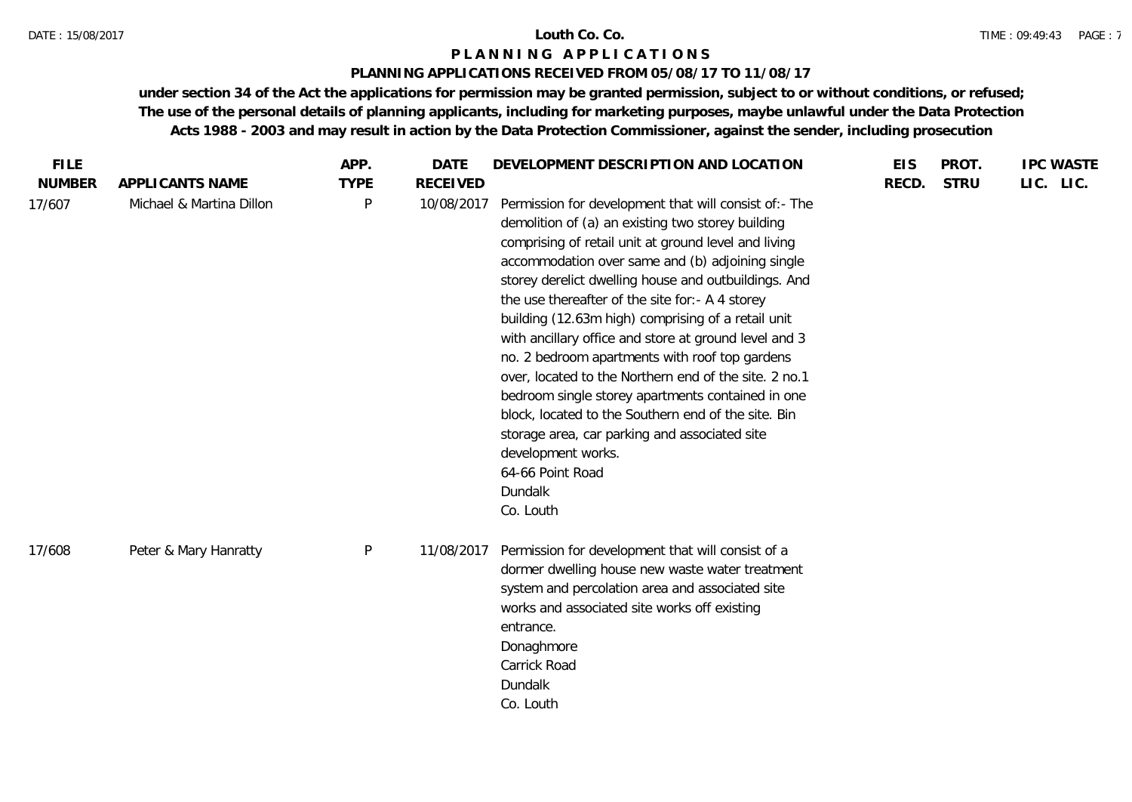# **PLANNING APPLICATIONS RECEIVED FROM 05/08/17 TO 11/08/17**

| <b>NUMBER</b><br><b>STRU</b><br>APPLICANTS NAME<br><b>TYPE</b><br><b>RECEIVED</b><br>RECD.<br>17/607<br>Michael & Martina Dillon<br>P<br>Permission for development that will consist of:- The<br>10/08/2017<br>demolition of (a) an existing two storey building<br>comprising of retail unit at ground level and living<br>accommodation over same and (b) adjoining single<br>storey derelict dwelling house and outbuildings. And<br>the use thereafter of the site for:- A 4 storey<br>building (12.63m high) comprising of a retail unit | LIC. LIC. |
|------------------------------------------------------------------------------------------------------------------------------------------------------------------------------------------------------------------------------------------------------------------------------------------------------------------------------------------------------------------------------------------------------------------------------------------------------------------------------------------------------------------------------------------------|-----------|
|                                                                                                                                                                                                                                                                                                                                                                                                                                                                                                                                                |           |
| with ancillary office and store at ground level and 3<br>no. 2 bedroom apartments with roof top gardens<br>over, located to the Northern end of the site. 2 no.1<br>bedroom single storey apartments contained in one<br>block, located to the Southern end of the site. Bin<br>storage area, car parking and associated site<br>development works.<br>64-66 Point Road<br>Dundalk<br>Co. Louth                                                                                                                                                |           |
| $\mathsf{P}$<br>Permission for development that will consist of a<br>Peter & Mary Hanratty<br>11/08/2017<br>17/608<br>dormer dwelling house new waste water treatment<br>system and percolation area and associated site<br>works and associated site works off existing<br>entrance.<br>Donaghmore<br>Carrick Road<br>Dundalk<br>Co. Louth                                                                                                                                                                                                    |           |